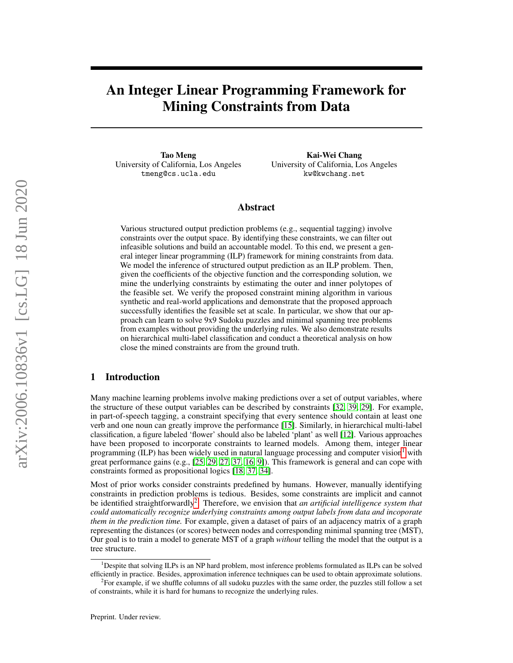# An Integer Linear Programming Framework for Mining Constraints from Data

Tao Meng University of California, Los Angeles tmeng@cs.ucla.edu

Kai-Wei Chang University of California, Los Angeles kw@kwchang.net

## Abstract

Various structured output prediction problems (e.g., sequential tagging) involve constraints over the output space. By identifying these constraints, we can filter out infeasible solutions and build an accountable model. To this end, we present a general integer linear programming (ILP) framework for mining constraints from data. We model the inference of structured output prediction as an ILP problem. Then, given the coefficients of the objective function and the corresponding solution, we mine the underlying constraints by estimating the outer and inner polytopes of the feasible set. We verify the proposed constraint mining algorithm in various synthetic and real-world applications and demonstrate that the proposed approach successfully identifies the feasible set at scale. In particular, we show that our approach can learn to solve 9x9 Sudoku puzzles and minimal spanning tree problems from examples without providing the underlying rules. We also demonstrate results on hierarchical multi-label classification and conduct a theoretical analysis on how close the mined constraints are from the ground truth.

# <span id="page-0-2"></span>1 Introduction

Many machine learning problems involve making predictions over a set of output variables, where the structure of these output variables can be described by constraints [\[32,](#page-9-0) [39,](#page-9-1) [29\]](#page-9-2). For example, in part-of-speech tagging, a constraint specifying that every sentence should contain at least one verb and one noun can greatly improve the performance [\[15\]](#page-8-0). Similarly, in hierarchical multi-label classification, a figure labeled 'flower' should also be labeled 'plant' as well [\[12\]](#page-8-1). Various approaches have been proposed to incorporate constraints to learned models. Among them, integer linear programming (ILP) has been widely used in natural language processing and computer vision<sup>[1](#page-0-0)</sup> with great performance gains (e.g., [\[25,](#page-9-3) [29,](#page-9-2) [27,](#page-9-4) [37,](#page-9-5) [16,](#page-8-2) [9\]](#page-8-3)). This framework is general and can cope with constraints formed as propositional logics [\[18,](#page-8-4) [37,](#page-9-5) [34\]](#page-9-6).

Most of prior works consider constraints predefined by humans. However, manually identifying constraints in prediction problems is tedious. Besides, some constraints are implicit and cannot be identified straightforwardly<sup>[2](#page-0-1)</sup>. Therefore, we envision that *an artificial intelligence system that could automatically recognize underlying constraints among output labels from data and incoporate them in the prediction time.* For example, given a dataset of pairs of an adjacency matrix of a graph representing the distances (or scores) between nodes and corresponding minimal spanning tree (MST), Our goal is to train a model to generate MST of a graph *without* telling the model that the output is a tree structure.

<span id="page-0-0"></span><sup>&</sup>lt;sup>1</sup>Despite that solving ILPs is an NP hard problem, most inference problems formulated as ILPs can be solved efficiently in practice. Besides, approximation inference techniques can be used to obtain approximate solutions.

<span id="page-0-1"></span><sup>&</sup>lt;sup>2</sup> For example, if we shuffle columns of all sudoku puzzles with the same order, the puzzles still follow a set of constraints, while it is hard for humans to recognize the underlying rules.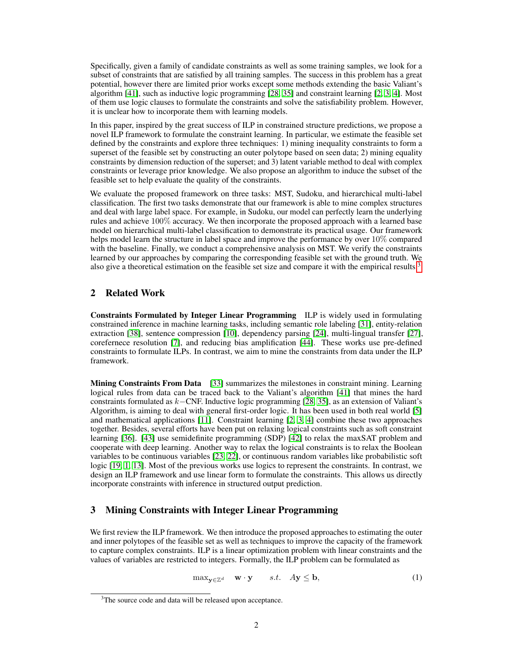Specifically, given a family of candidate constraints as well as some training samples, we look for a subset of constraints that are satisfied by all training samples. The success in this problem has a great potential, however there are limited prior works except some methods extending the basic Valiant's algorithm [\[41\]](#page-9-7), such as inductive logic programming [\[28,](#page-9-8) [35\]](#page-9-9) and constraint learning [\[2,](#page-8-5) [3,](#page-8-6) [4\]](#page-8-7). Most of them use logic clauses to formulate the constraints and solve the satisfiability problem. However, it is unclear how to incorporate them with learning models.

In this paper, inspired by the great success of ILP in constrained structure predictions, we propose a novel ILP framework to formulate the constraint learning. In particular, we estimate the feasible set defined by the constraints and explore three techniques: 1) mining inequality constraints to form a superset of the feasible set by constructing an outer polytope based on seen data; 2) mining equality constraints by dimension reduction of the superset; and 3) latent variable method to deal with complex constraints or leverage prior knowledge. We also propose an algorithm to induce the subset of the feasible set to help evaluate the quality of the constraints.

We evaluate the proposed framework on three tasks: MST, Sudoku, and hierarchical multi-label classification. The first two tasks demonstrate that our framework is able to mine complex structures and deal with large label space. For example, in Sudoku, our model can perfectly learn the underlying rules and achieve 100% accuracy. We then incorporate the proposed approach with a learned base model on hierarchical multi-label classification to demonstrate its practical usage. Our framework helps model learn the structure in label space and improve the performance by over 10% compared with the baseline. Finally, we conduct a comprehensive analysis on MST. We verify the constraints learned by our approaches by comparing the corresponding feasible set with the ground truth. We also give a theoretical estimation on the feasible set size and compare it with the empirical results.<sup>[3](#page-1-0)</sup>

## <span id="page-1-2"></span>2 Related Work

Constraints Formulated by Integer Linear Programming ILP is widely used in formulating constrained inference in machine learning tasks, including semantic role labeling [\[31\]](#page-9-10), entity-relation extraction [\[38\]](#page-9-11), sentence compression [\[10\]](#page-8-8), dependency parsing [\[24\]](#page-9-12), multi-lingual transfer [\[27\]](#page-9-4), corefernece resolution [\[7\]](#page-8-9), and reducing bias amplification [\[44\]](#page-9-13). These works use pre-defined constraints to formulate ILPs. In contrast, we aim to mine the constraints from data under the ILP framework.

Mining Constraints From Data [\[33\]](#page-9-14) summarizes the milestones in constraint mining. Learning logical rules from data can be traced back to the Valiant's algorithm [\[41\]](#page-9-7) that mines the hard constraints formulated as k−CNF. Inductive logic programming [\[28,](#page-9-8) [35\]](#page-9-9), as an extension of Valiant's Algorithm, is aiming to deal with general first-order logic. It has been used in both real world [\[5\]](#page-8-10) and mathematical applications  $[11]$ . Constraint learning  $[2, 3, 4]$  $[2, 3, 4]$  $[2, 3, 4]$  $[2, 3, 4]$  $[2, 3, 4]$  combine these two approaches together. Besides, several efforts have been put on relaxing logical constraints such as soft constraint learning [\[36\]](#page-9-15). [\[43\]](#page-9-16) use semidefinite programming (SDP) [\[42\]](#page-9-17) to relax the maxSAT problem and cooperate with deep learning. Another way to relax the logical constraints is to relax the Boolean variables to be continuous variables [\[23,](#page-9-18) [22\]](#page-9-19), or continuous random variables like probabilistic soft logic [\[19,](#page-8-12) [1,](#page-8-13) [13\]](#page-8-14). Most of the previous works use logics to represent the constraints. In contrast, we design an ILP framework and use linear form to formulate the constraints. This allows us directly incorporate constraints with inference in structured output prediction.

# <span id="page-1-3"></span>3 Mining Constraints with Integer Linear Programming

We first review the ILP framework. We then introduce the proposed approaches to estimating the outer and inner polytopes of the feasible set as well as techniques to improve the capacity of the framework to capture complex constraints. ILP is a linear optimization problem with linear constraints and the values of variables are restricted to integers. Formally, the ILP problem can be formulated as

<span id="page-1-1"></span>
$$
\max_{\mathbf{y} \in \mathbb{Z}^d} \quad \mathbf{w} \cdot \mathbf{y} \qquad s.t. \quad A\mathbf{y} \le \mathbf{b}, \tag{1}
$$

<span id="page-1-0"></span><sup>&</sup>lt;sup>3</sup>The source code and data will be released upon acceptance.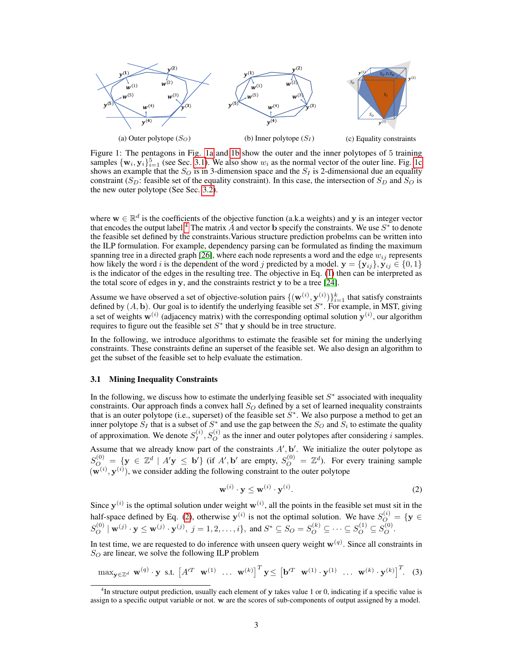<span id="page-2-0"></span>

Figure 1: The pentagons in Fig. [1a](#page-2-0) and [1b](#page-2-0) show the outer and the inner polytopes of 5 training samples  $\{w_i, y_i\}_{i=1}^5$  (see Sec. [3.1\)](#page-2-1). We also show  $w_i$  as the normal vector of the outer line. Fig. [1c](#page-2-0) shows an example that the  $S_Q$  is in 3-dimension space and the  $S_I$  is 2-dimensional due an equality constraint ( $S_D$ : feasible set of the equality constraint). In this case, the intersection of  $S_D$  and  $S_O$  is the new outer polytope (See Sec. [3.2\)](#page-3-0).

where  $w \in \mathbb{R}^d$  is the coefficients of the objective function (a.k.a weights) and y is an integer vector that encodes the output label.<sup>[4](#page-2-2)</sup> The matrix  $\vec{A}$  and vector **b** specify the constraints. We use  $S^*$  to denote the feasible set defined by the constraints.Various structure prediction probelms can be written into the ILP formulation. For example, dependency parsing can be formulated as finding the maximum spanning tree in a directed graph [\[26\]](#page-9-20), where each node represents a word and the edge  $w_{ij}$  represents how likely the word i is the dependent of the word j predicted by a model.  $y = \{y_{ij}\}\,$ ,  $y_{ij} \in \{0, 1\}$ is the indicator of the edges in the resulting tree. The objective in Eq. [\(1\)](#page-1-1) then can be interpreted as the total score of edges in  $v$ , and the constraints restrict  $v$  to be a tree [\[24\]](#page-9-12).

Assume we have observed a set of objective-solution pairs  $\{(\mathbf{w}^{(i)}, \mathbf{y}^{(i)})\}_{i=1}^k$  that satisfy constraints defined by  $(A, b)$ . Our goal is to identify the underlying feasible set  $S^*$ . For example, in MST, giving a set of weights  $w^{(i)}$  (adjacency matrix) with the corresponding optimal solution  $y^{(i)}$ , our algorithm requires to figure out the feasible set  $S^*$  that y should be in tree structure.

In the following, we introduce algorithms to estimate the feasible set for mining the underlying constraints. These constraints define an superset of the feasible set. We also design an algorithm to get the subset of the feasible set to help evaluate the estimation.

#### <span id="page-2-1"></span>3.1 Mining Inequality Constraints

In the following, we discuss how to estimate the underlying feasible set  $S^*$  associated with inequality constraints. Our approach finds a convex hall  $S<sub>O</sub>$  defined by a set of learned inequality constraints that is an outer polytope (i.e., superset) of the feasible set  $S^*$ . We also purpose a method to get an inner polytope  $S_I$  that is a subset of  $S^*$  and use the gap between the  $S_O$  and  $S_i$  to estimate the quality of approximation. We denote  $S_I^{(i)}$  $I_I^{(i)}$ ,  $S_O^{(i)}$  as the inner and outer polytopes after considering i samples.

Assume that we already know part of the constraints  $A'$ ,  $b'$ . We initialize the outer polytope as  $S_{O}^{(0)} = \{ \mathbf{y} \in \mathbb{Z}^d \mid A' \mathbf{y} \leq \mathbf{b'} \}$  (if A', b' are empty,  $S_{O}^{(0)} = \mathbb{Z}^d$ ). For every training sample  $(w^{(i)}, y^{(i)})$ , we consider adding the following constraint to the outer polytope

<span id="page-2-4"></span><span id="page-2-3"></span>
$$
\mathbf{w}^{(i)} \cdot \mathbf{y} \le \mathbf{w}^{(i)} \cdot \mathbf{y}^{(i)}.\tag{2}
$$

Since  $y^{(i)}$  is the optimal solution under weight  $w^{(i)}$ , all the points in the feasible set must sit in the half-space defined by Eq. [\(2\)](#page-2-3), otherwise  $y^{(i)}$  is not the optimal solution. We have  $S_Q^{(i)} = \{y \in$  $S_O^{(0)} | \mathbf{w}^{(j)} \cdot \mathbf{y} \le \mathbf{w}^{(j)} \cdot \mathbf{y}^{(j)}, j = 1, 2, ..., i$ , and  $S^* \subseteq S_O = S_O^{(k)} \subseteq \cdots \subseteq S_O^{(1)} \subseteq S_O^{(0)}$ .

In test time, we are requested to do inference with unseen query weight  $w^{(q)}$ . Since all constraints in  $S_O$  are linear, we solve the following ILP problem

$$
\max_{\mathbf{y} \in \mathbb{Z}^d} \mathbf{w}^{(q)} \cdot \mathbf{y} \text{ s.t. } \begin{bmatrix} A'^T & \mathbf{w}^{(1)} & \dots & \mathbf{w}^{(k)} \end{bmatrix}^T \mathbf{y} \leq \begin{bmatrix} \mathbf{b}'^T & \mathbf{w}^{(1)} \cdot \mathbf{y}^{(1)} & \dots & \mathbf{w}^{(k)} \cdot \mathbf{y}^{(k)} \end{bmatrix}^T. \tag{3}
$$

<span id="page-2-2"></span> $^{4}$ In structure output prediction, usually each element of y takes value 1 or 0, indicating if a specific value is assign to a specific output variable or not. w are the scores of sub-components of output assigned by a model.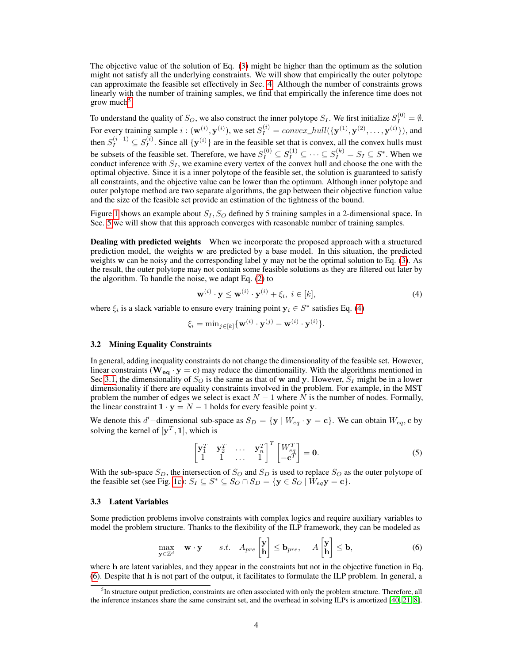The objective value of the solution of Eq. [\(3\)](#page-2-4) might be higher than the optimum as the solution might not satisfy all the underlying constraints. We will show that empirically the outer polytope can approximate the feasible set effectively in Sec. [4.](#page-4-0) Although the number of constraints grows linearly with the number of training samples, we find that empirically the inference time does not grow much<sup>[5](#page-3-1)</sup>.

To understand the quality of  $S_O$ , we also construct the inner polytope  $S_I$ . We first initialize  $S_I^{(0)} = \emptyset$ . For every training sample  $i: (\mathbf{w}^{(i)}, \mathbf{y}^{(i)})$ , we set  $S_I^{(i)} = convex\_hull(\{\mathbf{y}^{(1)}, \mathbf{y}^{(2)}, \dots, \mathbf{y}^{(i)}\})$ , and then  $S_I^{(i-1)} \subseteq S_I^{(i)}$  $I_I^{(i)}$ . Since all  $\{y^{(i)}\}$  are in the feasible set that is convex, all the convex hulls must be subsets of the feasible set. Therefore, we have  $S_I^{(0)} \subseteq S_I^{(1)} \subseteq \cdots \subseteq S_I^{(k)} = S_I \subseteq S^*$ . When we conduct inference with  $S_I$ , we examine every vertex of the convex hull and choose the one with the optimal objective. Since it is a inner polytope of the feasible set, the solution is guaranteed to satisfy all constraints, and the objective value can be lower than the optimum. Although inner polytope and outer polytope method are two separate algorithms, the gap between their objective function value and the size of the feasible set provide an estimation of the tightness of the bound.

Figure [1](#page-2-0) shows an example about  $S_I$ ,  $S_O$  defined by 5 training samples in a 2-dimensional space. In Sec. [5](#page-6-0) we will show that this approach converges with reasonable number of training samples.

Dealing with predicted weights When we incorporate the proposed approach with a structured prediction model, the weights w are predicted by a base model. In this situation, the predicted weights w can be noisy and the corresponding label y may not be the optimal solution to Eq. [\(3\)](#page-2-4). As the result, the outer polytope may not contain some feasible solutions as they are filtered out later by the algorithm. To handle the noise, we adapt Eq. [\(2\)](#page-2-3) to

<span id="page-3-2"></span>
$$
\mathbf{w}^{(i)} \cdot \mathbf{y} \le \mathbf{w}^{(i)} \cdot \mathbf{y}^{(i)} + \xi_i, \ i \in [k], \tag{4}
$$

where  $\xi_i$  is a slack variable to ensure every training point  $y_i \in S^*$  satisfies Eq. [\(4\)](#page-3-2)

$$
\xi_i = \min_{j \in [k]} {\{\mathbf{w}^{(i)} \cdot \mathbf{y}^{(j)} - \mathbf{w}^{(i)} \cdot \mathbf{y}^{(i)}\}}.
$$

#### <span id="page-3-0"></span>3.2 Mining Equality Constraints

In general, adding inequality constraints do not change the dimensionality of the feasible set. However, linear constraints ( $\mathbf{W}_{eq} \cdot \mathbf{y} = \mathbf{c}$ ) may reduce the dimentionaility. With the algorithms mentioned in Sec [3.1,](#page-2-1) the dimensionality of  $S_Q$  is the same as that of w and y. However,  $S_I$  might be in a lower dimensionality if there are equality constraints involved in the problem. For example, in the MST problem the number of edges we select is exact  $N - 1$  where N is the number of nodes. Formally, the linear constraint  $1 \cdot y = N - 1$  holds for every feasible point y.

We denote this d'-dimensional sub-space as  $S_D = \{y \mid W_{eq} \cdot y = c\}$ . We can obtain  $W_{eq}$ , c by solving the kernel of  $[y^T, 1]$ , which is

<span id="page-3-3"></span>
$$
\begin{bmatrix} \mathbf{y}_1^T & \mathbf{y}_2^T & \cdots & \mathbf{y}_n^T \\ 1 & 1 & \cdots & 1 \end{bmatrix}^T \begin{bmatrix} W_{eq}^T \\ -\mathbf{c}^T \end{bmatrix} = \mathbf{0}.
$$
 (5)

With the sub-space  $S_D$ , the intersection of  $S_O$  and  $S_D$  is used to replace  $S_O$  as the outer polytope of the feasible set (see Fig. [1c\)](#page-2-0):  $S_I \subseteq S^* \subseteq S_O \cap S_D = \{ \mathbf{y} \in S_O \mid W_{eq} \mathbf{y} = \mathbf{c} \}.$ 

#### <span id="page-3-4"></span>3.3 Latent Variables

Some prediction problems involve constraints with complex logics and require auxiliary variables to model the problem structure. Thanks to the flexibility of the ILP framework, they can be modeled as

$$
\max_{\mathbf{y}\in\mathbb{Z}^d} \quad \mathbf{w}\cdot\mathbf{y} \qquad s.t. \quad A_{pre}\begin{bmatrix} \mathbf{y} \\ \mathbf{h} \end{bmatrix} \leq \mathbf{b}_{pre}, \quad A\begin{bmatrix} \mathbf{y} \\ \mathbf{h} \end{bmatrix} \leq \mathbf{b}, \tag{6}
$$

where h are latent variables, and they appear in the constraints but not in the objective function in Eq. [\(6\)](#page-3-3). Despite that h is not part of the output, it facilitates to formulate the ILP problem. In general, a

<span id="page-3-1"></span><sup>&</sup>lt;sup>5</sup>In structure output prediction, constraints are often associated with only the problem structure. Therefore, all the inference instances share the same constraint set, and the overhead in solving ILPs is amortized [\[40,](#page-9-21) [21,](#page-9-22) [8\]](#page-8-15).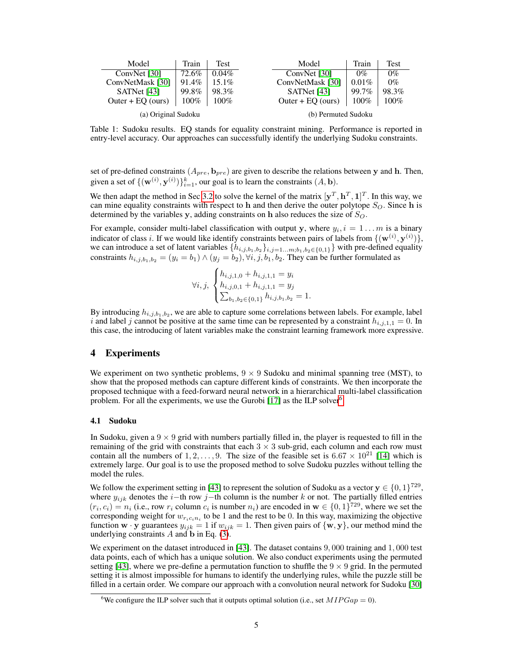<span id="page-4-2"></span>

| Model               | Train   | Test     | Model               | Train   | Test    |
|---------------------|---------|----------|---------------------|---------|---------|
| ConvNet [30]        | 72.6%   | $0.04\%$ | ConvNet [30]        | $0\%$   | $0\%$   |
| ConvNetMask [30]    | 91.4%   | 15.1%    | ConvNetMask [30]    | 0.01%   | $0\%$   |
| SATNet [43]         | 99.8%   | 98.3%    | SATNet [43]         | 99.7%   | 98.3%   |
| Outer + $EQ$ (ours) | $100\%$ | $100\%$  | Outer + $EQ$ (ours) | $100\%$ | $100\%$ |
| (a) Original Sudoku |         |          | (b) Permuted Sudoku |         |         |

Table 1: Sudoku results. EQ stands for equality constraint mining. Performance is reported in entry-level accuracy. Our approaches can successfully identify the underlying Sudoku constraints.

set of pre-defined constraints  $(A_{pre}, \mathbf{b}_{pre})$  are given to describe the relations between y and h. Then, given a set of  $\{(\mathbf{w}^{(i)}, \mathbf{y}^{(i)})\}_{i=1}^k$ , our goal is to learn the constraints  $(A, \mathbf{b})$ .

We then adapt the method in Sec [3.2](#page-3-0) to solve the kernel of the matrix  $[y^T, h^T, 1]^T$ . In this way, we can mine equality constraints with respect to h and then derive the outer polytope  $S_O$ . Since h is determined by the variables y, adding constraints on h also reduces the size of  $S_O$ .

For example, consider multi-label classification with output y, where  $y_i$ ,  $i = 1...m$  is a binary indicator of class i. If we would like identify constraints between pairs of labels from  $\{(\mathbf{w}^{(i)}, \mathbf{y}^{(i)})\},$ we can introduce a set of latent variables  $\{h_{i,j,b_1,b_2}\}_{i,j=1...m,b_1,b_2\in\{0,1\}}\}$  with pre-defined equality constraints  $h_{i,j,b_1,b_2} = (y_i = b_1) \wedge (y_j = b_2), \forall i, j, b_1, b_2$ . They can be further formulated as

$$
\forall i, j, \begin{cases} h_{i,j,1,0} + h_{i,j,1,1} = y_i \\ h_{i,j,0,1} + h_{i,j,1,1} = y_j \\ \sum_{b_1,b_2 \in \{0,1\}} h_{i,j,b_1,b_2} = 1. \end{cases}
$$

By introducing  $h_{i,j,b_1,b_2}$ , we are able to capture some correlations between labels. For example, label i and label j cannot be positive at the same time can be represented by a constraint  $h_{i,j,1,1} = 0$ . In this case, the introducing of latent variables make the constraint learning framework more expressive.

#### <span id="page-4-0"></span>4 Experiments

We experiment on two synthetic problems,  $9 \times 9$  Sudoku and minimal spanning tree (MST), to show that the proposed methods can capture different kinds of constraints. We then incorporate the proposed technique with a feed-forward neural network in a hierarchical multi-label classification problem. For all the experiments, we use the Gurobi  $[17]$  as the ILP solver<sup>[6](#page-4-1)</sup>.

#### <span id="page-4-3"></span>4.1 Sudoku

In Sudoku, given a  $9 \times 9$  grid with numbers partially filled in, the player is requested to fill in the remaining of the grid with constraints that each  $3 \times 3$  sub-grid, each column and each row must contain all the numbers of  $1, 2, ..., 9$ . The size of the feasible set is  $6.67 \times 10^{21}$  [\[14\]](#page-8-17) which is extremely large. Our goal is to use the proposed method to solve Sudoku puzzles without telling the model the rules.

We follow the experiment setting in [\[43\]](#page-9-16) to represent the solution of Sudoku as a vector  $y \in \{0, 1\}^{729}$ , where  $y_{ijk}$  denotes the i−th row j−th column is the number k or not. The partially filled entries  $(r_i, c_i) = n_i$  (i.e., row  $r_i$  column  $c_i$  is number  $n_i$ ) are encoded in  $\mathbf{w} \in \{0, 1\}^{729}$ , where we set the corresponding weight for  $w_{r_i c_i n_i}$  to be 1 and the rest to be 0. In this way, maximizing the objective function  $w \cdot y$  guarantees  $y_{ijk} = 1$  if  $w_{ijk} = 1$ . Then given pairs of  $\{w, y\}$ , our method mind the underlying constraints  $A$  and  $b$  in Eq. [\(3\)](#page-2-4).

We experiment on the dataset introduced in [\[43\]](#page-9-16). The dataset contains 9,000 training and 1,000 test data points, each of which has a unique solution. We also conduct experiments using the permuted setting [\[43\]](#page-9-16), where we pre-define a permutation function to shuffle the  $9 \times 9$  grid. In the permuted setting it is almost impossible for humans to identify the underlying rules, while the puzzle still be filled in a certain order. We compare our approach with a convolution neural network for Sudoku [\[30\]](#page-9-23)

<span id="page-4-1"></span><sup>&</sup>lt;sup>6</sup>We configure the ILP solver such that it outputs optimal solution (i.e., set  $MIPGap = 0$ ).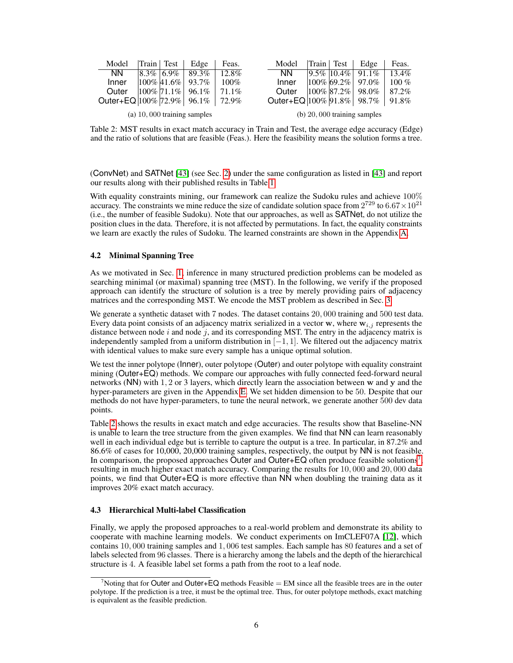<span id="page-5-0"></span>

| Model                           | $\left \text{Train}\right $ Test $\left \right $ | Edge                          | Feas.   | Model                        | $\ $ Train $\ $ Test | Edge                          | Feas.    |
|---------------------------------|--------------------------------------------------|-------------------------------|---------|------------------------------|----------------------|-------------------------------|----------|
| NN.                             | $8.3\%$ 6.9%                                     | 89.3%                         | 12.8%   | <b>NN</b>                    |                      | $ 9.5\% 10.4\% $ 91.1\%       | 13.4%    |
| Inner                           |                                                  | $ 100\% 41.6\% $ 93.7\%       | $100\%$ | Inner                        | $ 100\% 69.2\% $     | 97.0%                         | $100\%$  |
| Outer                           |                                                  | $ 100\% 71.1\% $ 96.1%        | 71.1%   | Outer                        |                      | $ 100\% 87.2\% 98.0\%$        | 87.2%    |
| Outer+EQ $ 100\% 72.9\% $ 96.1% |                                                  |                               | 72.9%   | Outer+EQ  100% 91.8%   98.7% |                      |                               | $91.8\%$ |
|                                 |                                                  | $(a)$ 10,000 training samples |         |                              |                      | (b) $20,000$ training samples |          |

Table 2: MST results in exact match accuracy in Train and Test, the average edge accuracy (Edge) and the ratio of solutions that are feasible (Feas.). Here the feasibility means the solution forms a tree.

(ConvNet) and SATNet [\[43\]](#page-9-16) (see Sec. [2\)](#page-1-2) under the same configuration as listed in [\[43\]](#page-9-16) and report our results along with their published results in Table [1.](#page-4-2)

With equality constraints mining, our framework can realize the Sudoku rules and achieve 100% accuracy. The constraints we mine reduce the size of candidate solution space from  $2^{729}$  to  $6.67 \times 10^{21}$ (i.e., the number of feasible Sudoku). Note that our approaches, as well as SATNet, do not utilize the position clues in the data. Therefore, it is not affected by permutations. In fact, the equality constraints we learn are exactly the rules of Sudoku. The learned constraints are shown in the Appendix [A.](#page-10-0)

#### <span id="page-5-2"></span>4.2 Minimal Spanning Tree

As we motivated in Sec. [1,](#page-0-2) inference in many structured prediction problems can be modeled as searching minimal (or maximal) spanning tree (MST). In the following, we verify if the proposed approach can identify the structure of solution is a tree by merely providing pairs of adjacency matrices and the corresponding MST. We encode the MST problem as described in Sec. [3.](#page-1-3)

We generate a synthetic dataset with 7 nodes. The dataset contains 20,000 training and 500 test data. Every data point consists of an adjacency matrix serialized in a vector w, where  $w_{i,j}$  represents the distance between node  $i$  and node  $j$ , and its corresponding MST. The entry in the adjacency matrix is independently sampled from a uniform distribution in  $[-1, 1]$ . We filtered out the adjacency matrix with identical values to make sure every sample has a unique optimal solution.

We test the inner polytope (Inner), outer polytope (Outer) and outer polytope with equality constraint mining (Outer+EQ) methods. We compare our approaches with fully connected feed-forward neural networks (NN) with 1, 2 or 3 layers, which directly learn the association between w and y and the hyper-parameters are given in the Appendix [E.](#page-11-0) We set hidden dimension to be 50. Despite that our methods do not have hyper-parameters, to tune the neural network, we generate another 500 dev data points.

Table [2](#page-5-0) shows the results in exact match and edge accuracies. The results show that Baseline-NN is unable to learn the tree structure from the given examples. We find that NN can learn reasonably well in each individual edge but is terrible to capture the output is a tree. In particular, in 87.2% and 86.6% of cases for 10,000, 20,000 training samples, respectively, the output by NN is not feasible. In comparison, the proposed approaches Outer and Outer+EQ often produce feasible solutions<sup>[7](#page-5-1)</sup>, resulting in much higher exact match accuracy. Comparing the results for 10, 000 and 20, 000 data points, we find that Outer+EQ is more effective than NN when doubling the training data as it improves 20% exact match accuracy.

## 4.3 Hierarchical Multi-label Classification

Finally, we apply the proposed approaches to a real-world problem and demonstrate its ability to cooperate with machine learning models. We conduct experiments on ImCLEF07A [\[12\]](#page-8-1), which contains 10, 000 training samples and 1, 006 test samples. Each sample has 80 features and a set of labels selected from 96 classes. There is a hierarchy among the labels and the depth of the hierarchical structure is 4. A feasible label set forms a path from the root to a leaf node.

<span id="page-5-1"></span><sup>&</sup>lt;sup>7</sup>Noting that for Outer and Outer+EQ methods Feasible  $=$  EM since all the feasible trees are in the outer polytope. If the prediction is a tree, it must be the optimal tree. Thus, for outer polytope methods, exact matching is equivalent as the feasible prediction.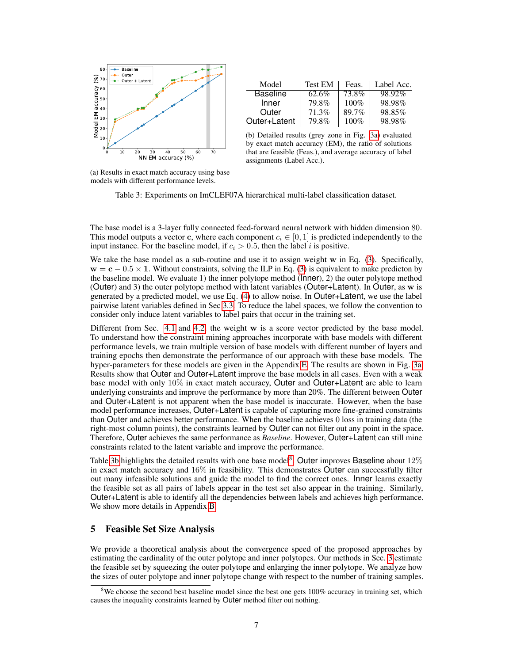<span id="page-6-1"></span>

| Model           | <b>Test EM</b> | Feas.   | Label Acc. |
|-----------------|----------------|---------|------------|
| <b>Baseline</b> | 62.6%          | 73.8%   | 98.92%     |
| Inner           | 79.8%          | $100\%$ | 98.98%     |
| Outer           | 71.3%          | 89.7%   | 98.85%     |
| Outer+Latent    | 79.8%          | $100\%$ | 98.98%     |

(b) Detailed results (grey zone in Fig. [3a\)](#page-6-1) evaluated by exact match accuracy (EM), the ratio of solutions that are feasible (Feas.), and average accuracy of label assignments (Label Acc.).

(a) Results in exact match accuracy using base models with different performance levels.

Table 3: Experiments on ImCLEF07A hierarchical multi-label classification dataset.

The base model is a 3-layer fully connected feed-forward neural network with hidden dimension 80. This model outputs a vector c, where each component  $c_i \in [0, 1]$  is predicted independently to the input instance. For the baseline model, if  $c_i > 0.5$ , then the label i is positive.

We take the base model as a sub-routine and use it to assign weight w in Eq. [\(3\)](#page-2-4). Specifically,  $\mathbf{w} = \mathbf{c} - 0.5 \times \mathbf{1}$ . Without constraints, solving the ILP in Eq. [\(3\)](#page-2-4) is equivalent to make predicton by the baseline model. We evaluate 1) the inner polytope method (Inner), 2) the outer polytope method (Outer) and 3) the outer polytope method with latent variables (Outer+Latent). In Outer, as w is generated by a predicted model, we use Eq. [\(4\)](#page-3-2) to allow noise. In Outer+Latent, we use the label pairwise latent variables defined in Sec [3.3.](#page-3-4) To reduce the label spaces, we follow the convention to consider only induce latent variables to label pairs that occur in the training set.

Different from Sec. [4.1](#page-4-3) and [4.2,](#page-5-2) the weight w is a score vector predicted by the base model. To understand how the constraint mining approaches incorporate with base models with different performance levels, we train multiple version of base models with different number of layers and training epochs then demonstrate the performance of our approach with these base models. The hyper-parameters for these models are given in the Appendix [E.](#page-11-0) The results are shown in Fig. [3a.](#page-6-1) Results show that Outer and Outer+Latent improve the base models in all cases. Even with a weak base model with only 10% in exact match accuracy, Outer and Outer+Latent are able to learn underlying constraints and improve the performance by more than 20%. The different between Outer and Outer+Latent is not apparent when the base model is inaccurate. However, when the base model performance increases, Outer+Latent is capable of capturing more fine-grained constraints than Outer and achieves better performance. When the baseline achieves 0 loss in training data (the right-most column points), the constraints learned by Outer can not filter out any point in the space. Therefore, Outer achieves the same performance as *Baseline*. However, Outer+Latent can still mine constraints related to the latent variable and improve the performance.

Table [3b](#page-6-1) highlights the detailed results with one base model<sup>[8](#page-6-2)</sup>. Outer improves Baseline about 12% in exact match accuracy and 16% in feasibility. This demonstrates Outer can successfully filter out many infeasible solutions and guide the model to find the correct ones. Inner learns exactly the feasible set as all pairs of labels appear in the test set also appear in the training. Similarly, Outer+Latent is able to identify all the dependencies between labels and achieves high performance. We show more details in Appendix [B.](#page-10-1)

# <span id="page-6-0"></span>5 Feasible Set Size Analysis

We provide a theoretical analysis about the convergence speed of the proposed approaches by estimating the cardinality of the outer polytope and inner polytopes. Our methods in Sec. [3](#page-1-3) estimate the feasible set by squeezing the outer polytope and enlarging the inner polytope. We analyze how the sizes of outer polytope and inner polytope change with respect to the number of training samples.

<span id="page-6-2"></span> $8$ We choose the second best baseline model since the best one gets 100% accuracy in training set, which causes the inequality constraints learned by Outer method filter out nothing.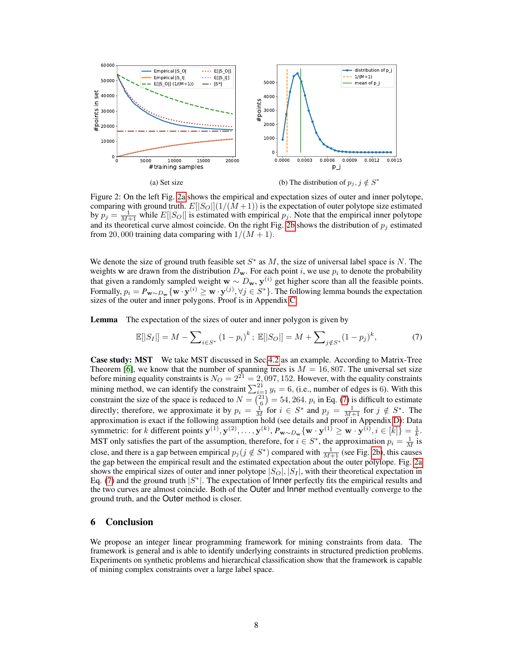<span id="page-7-0"></span>

Figure 2: On the left Fig. [2a](#page-7-0) shows the empirical and expectation sizes of outer and inner polytope, comparing with ground truth.  $E[|S_O|](1/(M+1))$  is the expectation of outer polytope size estimated by  $p_j = \frac{1}{M+1}$  while  $E[|S_O|]$  is estimated with empirical  $p_j$ . Note that the empirical inner polytope and its theoretical curve almost coincide. On the right Fig. [2b](#page-7-0) shows the distribution of  $p_i$  estimated from 20,000 training data comparing with  $1/(M + 1)$ .

We denote the size of ground truth feasible set  $S^*$  as M, the size of universal label space is N. The weights w are drawn from the distribution  $D_{\mathbf{w}}$ . For each point i, we use  $p_i$  to denote the probability that given a randomly sampled weight  $w \sim D_w$ ,  $y^{(i)}$  get higher score than all the feasible points. Formally,  $p_i = P_{\mathbf{w} \sim D_{\mathbf{w}}} \{ \mathbf{w} \cdot \mathbf{y}^{(i)} \geq \mathbf{w} \cdot \mathbf{y}^{(j)}, \forall j \in S^* \}.$  The following lemma bounds the expectation sizes of the outer and inner polygons. Proof is in Appendix [C.](#page-10-2)

**Lemma** The expectation of the sizes of outer and inner polygon is given by

<span id="page-7-1"></span>
$$
\mathbb{E}[|S_I|] = M - \sum_{i \in S^*} (1 - p_i)^k; \quad \mathbb{E}[|S_O|] = M + \sum_{j \notin S^*} (1 - p_j)^k,\tag{7}
$$

Case study: MST We take MST discussed in Sec[.4.2](#page-5-2) as an example. According to Matrix-Tree Theorem [\[6\]](#page-8-18), we know that the number of spanning trees is  $M = 16, 807$ . The universal set size before mining equality constraints is  $N_O = 2^{21} = 2,097,152$ . However, with the equality constraints mining method, we can identify the constraint  $\sum_{i=1}^{21} y_i = 6$ , (i.e., number of edges is 6). With this constraint the size of the space is reduced to  $N = \binom{21}{6} = 54, 264$ .  $p_i$  in Eq. [\(7\)](#page-7-1) is difficult to estimate directly; therefore, we approximate it by  $p_i = \frac{1}{M}$  for  $i \in S^*$  and  $p_j = \frac{1}{M+1}$  for  $j \notin S^*$ . The approximation is exact if the following assumption hold (see details and proof in Appendix [D\)](#page-11-1): Data symmetric: for k different points  $\mathbf{y}^{(1)}, \mathbf{y}^{(2)}, \dots, \mathbf{y}^{(k)}$ ,  $P_{\mathbf{w} \sim D_{\mathbf{w}}} \{ \mathbf{w} \cdot \mathbf{y}^{(1)} \geq \mathbf{w} \cdot \mathbf{y}^{(i)}$ ,  $i \in [k] \} = \frac{1}{k}$ . MST only satisfies the part of the assumption, therefore, for  $i \in S^*$ , the approximation  $p_i = \frac{1}{M}$  is close, and there is a gap between empirical  $p_j (j \notin S^*)$  compared with  $\frac{1}{M+1}$  (see Fig. [2b\)](#page-7-0), this causes the gap between the empirical result and the estimated expectation about the outer polytope. Fig. [2a](#page-7-0) shows the empirical sizes of outer and inner polytope  $|S_O|, |S_I|$ , with their theoretical expectation in Eq. [\(7\)](#page-7-1) and the ground truth  $|S^*|$ . The expectation of lnner perfectly fits the empirical results and the two curves are almost coincide. Both of the Outer and Inner method eventually converge to the ground truth, and the Outer method is closer.

## 6 Conclusion

We propose an integer linear programming framework for mining constraints from data. The framework is general and is able to identify underlying constraints in structured prediction problems. Experiments on synthetic problems and hierarchical classification show that the framework is capable of mining complex constraints over a large label space.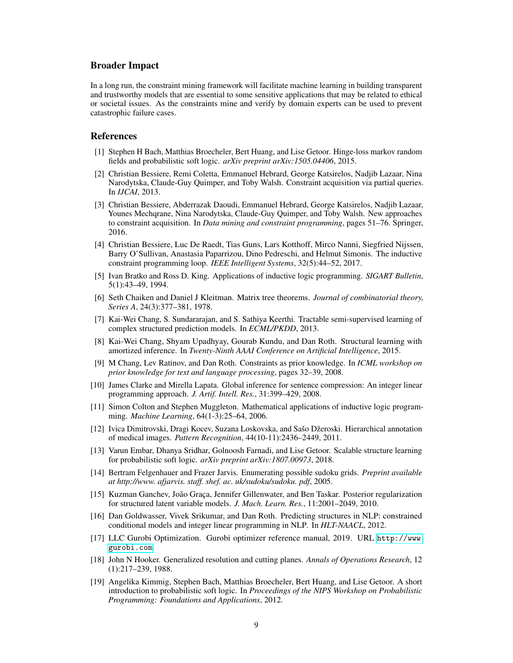### Broader Impact

In a long run, the constraint mining framework will facilitate machine learning in building transparent and trustworthy models that are essential to some sensitive applications that may be related to ethical or societal issues. As the constraints mine and verify by domain experts can be used to prevent catastrophic failure cases.

#### References

- <span id="page-8-13"></span>[1] Stephen H Bach, Matthias Broecheler, Bert Huang, and Lise Getoor. Hinge-loss markov random fields and probabilistic soft logic. *arXiv preprint arXiv:1505.04406*, 2015.
- <span id="page-8-5"></span>[2] Christian Bessiere, Remi Coletta, Emmanuel Hebrard, George Katsirelos, Nadjib Lazaar, Nina Narodytska, Claude-Guy Quimper, and Toby Walsh. Constraint acquisition via partial queries. In *IJCAI*, 2013.
- <span id="page-8-6"></span>[3] Christian Bessiere, Abderrazak Daoudi, Emmanuel Hebrard, George Katsirelos, Nadjib Lazaar, Younes Mechqrane, Nina Narodytska, Claude-Guy Quimper, and Toby Walsh. New approaches to constraint acquisition. In *Data mining and constraint programming*, pages 51–76. Springer, 2016.
- <span id="page-8-7"></span>[4] Christian Bessiere, Luc De Raedt, Tias Guns, Lars Kotthoff, Mirco Nanni, Siegfried Nijssen, Barry O'Sullivan, Anastasia Paparrizou, Dino Pedreschi, and Helmut Simonis. The inductive constraint programming loop. *IEEE Intelligent Systems*, 32(5):44–52, 2017.
- <span id="page-8-10"></span>[5] Ivan Bratko and Ross D. King. Applications of inductive logic programming. *SIGART Bulletin*, 5(1):43–49, 1994.
- <span id="page-8-18"></span>[6] Seth Chaiken and Daniel J Kleitman. Matrix tree theorems. *Journal of combinatorial theory, Series A*, 24(3):377–381, 1978.
- <span id="page-8-9"></span>[7] Kai-Wei Chang, S. Sundararajan, and S. Sathiya Keerthi. Tractable semi-supervised learning of complex structured prediction models. In *ECML/PKDD*, 2013.
- <span id="page-8-15"></span>[8] Kai-Wei Chang, Shyam Upadhyay, Gourab Kundu, and Dan Roth. Structural learning with amortized inference. In *Twenty-Ninth AAAI Conference on Artificial Intelligence*, 2015.
- <span id="page-8-3"></span>[9] M Chang, Lev Ratinov, and Dan Roth. Constraints as prior knowledge. In *ICML workshop on prior knowledge for text and language processing*, pages 32–39, 2008.
- <span id="page-8-8"></span>[10] James Clarke and Mirella Lapata. Global inference for sentence compression: An integer linear programming approach. *J. Artif. Intell. Res.*, 31:399–429, 2008.
- <span id="page-8-11"></span>[11] Simon Colton and Stephen Muggleton. Mathematical applications of inductive logic programming. *Machine Learning*, 64(1-3):25–64, 2006.
- <span id="page-8-1"></span>[12] Ivica Dimitrovski, Dragi Kocev, Suzana Loskovska, and Sašo Džeroski. Hierarchical annotation of medical images. *Pattern Recognition*, 44(10-11):2436–2449, 2011.
- <span id="page-8-14"></span>[13] Varun Embar, Dhanya Sridhar, Golnoosh Farnadi, and Lise Getoor. Scalable structure learning for probabilistic soft logic. *arXiv preprint arXiv:1807.00973*, 2018.
- <span id="page-8-17"></span>[14] Bertram Felgenhauer and Frazer Jarvis. Enumerating possible sudoku grids. *Preprint available at http://www. afjarvis. staff. shef. ac. uk/sudoku/sudoku. pdf*, 2005.
- <span id="page-8-0"></span>[15] Kuzman Ganchev, João Graça, Jennifer Gillenwater, and Ben Taskar. Posterior regularization for structured latent variable models. *J. Mach. Learn. Res.*, 11:2001–2049, 2010.
- <span id="page-8-2"></span>[16] Dan Goldwasser, Vivek Srikumar, and Dan Roth. Predicting structures in NLP: constrained conditional models and integer linear programming in NLP. In *HLT-NAACL*, 2012.
- <span id="page-8-16"></span>[17] LLC Gurobi Optimization. Gurobi optimizer reference manual, 2019. URL [http://www.](http://www.gurobi.com) [gurobi.com](http://www.gurobi.com).
- <span id="page-8-4"></span>[18] John N Hooker. Generalized resolution and cutting planes. *Annals of Operations Research*, 12 (1):217–239, 1988.
- <span id="page-8-12"></span>[19] Angelika Kimmig, Stephen Bach, Matthias Broecheler, Bert Huang, and Lise Getoor. A short introduction to probabilistic soft logic. In *Proceedings of the NIPS Workshop on Probabilistic Programming: Foundations and Applications*, 2012.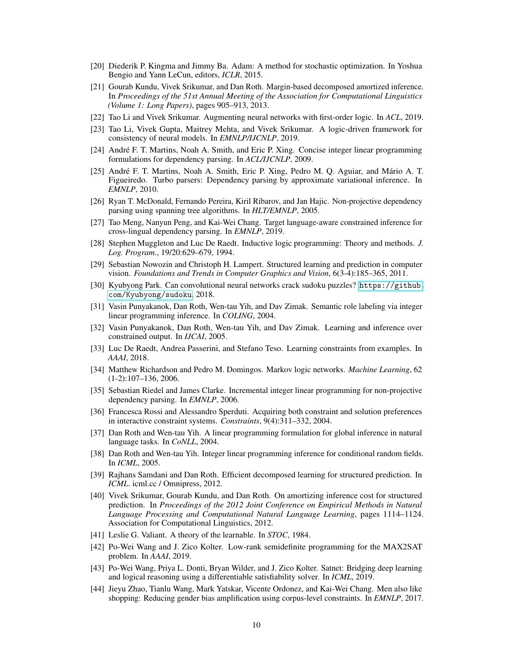- <span id="page-9-24"></span>[20] Diederik P. Kingma and Jimmy Ba. Adam: A method for stochastic optimization. In Yoshua Bengio and Yann LeCun, editors, *ICLR*, 2015.
- <span id="page-9-22"></span>[21] Gourab Kundu, Vivek Srikumar, and Dan Roth. Margin-based decomposed amortized inference. In *Proceedings of the 51st Annual Meeting of the Association for Computational Linguistics (Volume 1: Long Papers)*, pages 905–913, 2013.
- <span id="page-9-19"></span>[22] Tao Li and Vivek Srikumar. Augmenting neural networks with first-order logic. In *ACL*, 2019.
- <span id="page-9-18"></span>[23] Tao Li, Vivek Gupta, Maitrey Mehta, and Vivek Srikumar. A logic-driven framework for consistency of neural models. In *EMNLP/IJCNLP*, 2019.
- <span id="page-9-12"></span>[24] André F. T. Martins, Noah A. Smith, and Eric P. Xing. Concise integer linear programming formulations for dependency parsing. In *ACL/IJCNLP*, 2009.
- <span id="page-9-3"></span>[25] André F. T. Martins, Noah A. Smith, Eric P. Xing, Pedro M. Q. Aguiar, and Mário A. T. Figueiredo. Turbo parsers: Dependency parsing by approximate variational inference. In *EMNLP*, 2010.
- <span id="page-9-20"></span>[26] Ryan T. McDonald, Fernando Pereira, Kiril Ribarov, and Jan Hajic. Non-projective dependency parsing using spanning tree algorithms. In *HLT/EMNLP*, 2005.
- <span id="page-9-4"></span>[27] Tao Meng, Nanyun Peng, and Kai-Wei Chang. Target language-aware constrained inference for cross-lingual dependency parsing. In *EMNLP*, 2019.
- <span id="page-9-8"></span>[28] Stephen Muggleton and Luc De Raedt. Inductive logic programming: Theory and methods. *J. Log. Program.*, 19/20:629–679, 1994.
- <span id="page-9-2"></span>[29] Sebastian Nowozin and Christoph H. Lampert. Structured learning and prediction in computer vision. *Foundations and Trends in Computer Graphics and Vision*, 6(3-4):185–365, 2011.
- <span id="page-9-23"></span>[30] Kyubyong Park. Can convolutional neural networks crack sudoku puzzles? [https://github.](https://github.com/Kyubyong/sudoku) [com/Kyubyong/sudoku](https://github.com/Kyubyong/sudoku), 2018.
- <span id="page-9-10"></span>[31] Vasin Punyakanok, Dan Roth, Wen-tau Yih, and Dav Zimak. Semantic role labeling via integer linear programming inference. In *COLING*, 2004.
- <span id="page-9-0"></span>[32] Vasin Punyakanok, Dan Roth, Wen-tau Yih, and Dav Zimak. Learning and inference over constrained output. In *IJCAI*, 2005.
- <span id="page-9-14"></span>[33] Luc De Raedt, Andrea Passerini, and Stefano Teso. Learning constraints from examples. In *AAAI*, 2018.
- <span id="page-9-6"></span>[34] Matthew Richardson and Pedro M. Domingos. Markov logic networks. *Machine Learning*, 62 (1-2):107–136, 2006.
- <span id="page-9-9"></span>[35] Sebastian Riedel and James Clarke. Incremental integer linear programming for non-projective dependency parsing. In *EMNLP*, 2006.
- <span id="page-9-15"></span>[36] Francesca Rossi and Alessandro Sperduti. Acquiring both constraint and solution preferences in interactive constraint systems. *Constraints*, 9(4):311–332, 2004.
- <span id="page-9-5"></span>[37] Dan Roth and Wen-tau Yih. A linear programming formulation for global inference in natural language tasks. In *CoNLL*, 2004.
- <span id="page-9-11"></span>[38] Dan Roth and Wen-tau Yih. Integer linear programming inference for conditional random fields. In *ICML*, 2005.
- <span id="page-9-1"></span>[39] Rajhans Samdani and Dan Roth. Efficient decomposed learning for structured prediction. In *ICML*. icml.cc / Omnipress, 2012.
- <span id="page-9-21"></span>[40] Vivek Srikumar, Gourab Kundu, and Dan Roth. On amortizing inference cost for structured prediction. In *Proceedings of the 2012 Joint Conference on Empirical Methods in Natural Language Processing and Computational Natural Language Learning*, pages 1114–1124. Association for Computational Linguistics, 2012.
- <span id="page-9-7"></span>[41] Leslie G. Valiant. A theory of the learnable. In *STOC*, 1984.
- <span id="page-9-17"></span>[42] Po-Wei Wang and J. Zico Kolter. Low-rank semidefinite programming for the MAX2SAT problem. In *AAAI*, 2019.
- <span id="page-9-16"></span>[43] Po-Wei Wang, Priya L. Donti, Bryan Wilder, and J. Zico Kolter. Satnet: Bridging deep learning and logical reasoning using a differentiable satisfiability solver. In *ICML*, 2019.
- <span id="page-9-13"></span>[44] Jieyu Zhao, Tianlu Wang, Mark Yatskar, Vicente Ordonez, and Kai-Wei Chang. Men also like shopping: Reducing gender bias amplification using corpus-level constraints. In *EMNLP*, 2017.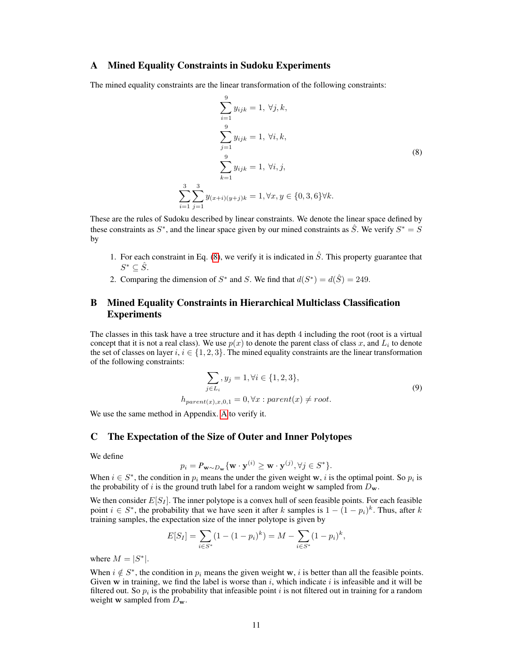## <span id="page-10-0"></span>A Mined Equality Constraints in Sudoku Experiments

The mined equality constraints are the linear transformation of the following constraints:

<span id="page-10-3"></span>
$$
\sum_{i=1}^{9} y_{ijk} = 1, \forall j, k,
$$
  

$$
\sum_{j=1}^{9} y_{ijk} = 1, \forall i, k,
$$
  

$$
\sum_{k=1}^{9} y_{ijk} = 1, \forall i, j,
$$
  

$$
\sum_{i=1}^{3} \sum_{j=1}^{3} y_{(x+i)(y+j)k} = 1, \forall x, y \in \{0, 3, 6\} \forall k.
$$
  
(8)

These are the rules of Sudoku described by linear constraints. We denote the linear space defined by these constraints as  $S^*$ , and the linear space given by our mined constraints as  $\hat{S}$ . We verify  $S^* = \hat{S}$ by

- 1. For each constraint in Eq. [\(8\)](#page-10-3), we verify it is indicated in  $\hat{S}$ . This property guarantee that  $S^*\subseteq \hat{S}$ .
- 2. Comparing the dimension of  $S^*$  and S. We find that  $d(S^*) = d(\hat{S}) = 249$ .

# <span id="page-10-1"></span>B Mined Equality Constraints in Hierarchical Multiclass Classification Experiments

The classes in this task have a tree structure and it has depth 4 including the root (root is a virtual concept that it is not a real class). We use  $p(x)$  to denote the parent class of class x, and  $L_i$  to denote the set of classes on layer  $i, i \in \{1, 2, 3\}$ . The mined equality constraints are the linear transformation of the following constraints:

$$
\sum_{j \in L_i} y_j = 1, \forall i \in \{1, 2, 3\},
$$
  

$$
h_{parent(x),x,0,1} = 0, \forall x : parent(x) \neq root.
$$
  
(9)

We use the same method in Appendix. [A](#page-10-0) to verify it.

## <span id="page-10-2"></span>C The Expectation of the Size of Outer and Inner Polytopes

We define

$$
p_i = P_{\mathbf{w} \sim D_{\mathbf{w}}} \{ \mathbf{w} \cdot \mathbf{y}^{(i)} \ge \mathbf{w} \cdot \mathbf{y}^{(j)}, \forall j \in S^* \}.
$$

When  $i \in S^*$ , the condition in  $p_i$  means the under the given weight w, i is the optimal point. So  $p_i$  is the probability of i is the ground truth label for a random weight w sampled from  $D_w$ .

We then consider  $E[S_I]$ . The inner polytope is a convex hull of seen feasible points. For each feasible point  $i \in S^*$ , the probability that we have seen it after k samples is  $1 - (1 - p_i)^k$ . Thus, after k training samples, the expectation size of the inner polytope is given by

$$
E[S_I] = \sum_{i \in S^*} (1 - (1 - p_i)^k) = M - \sum_{i \in S^*} (1 - p_i)^k,
$$

where  $M = |S^*|$ .

When  $i \notin S^*$ , the condition in  $p_i$  means the given weight w, i is better than all the feasible points. Given w in training, we find the label is worse than i, which indicate i is infeasible and it will be filtered out. So  $p_i$  is the probability that infeasible point i is not filtered out in training for a random weight **w** sampled from  $D_{\bf w}$ .